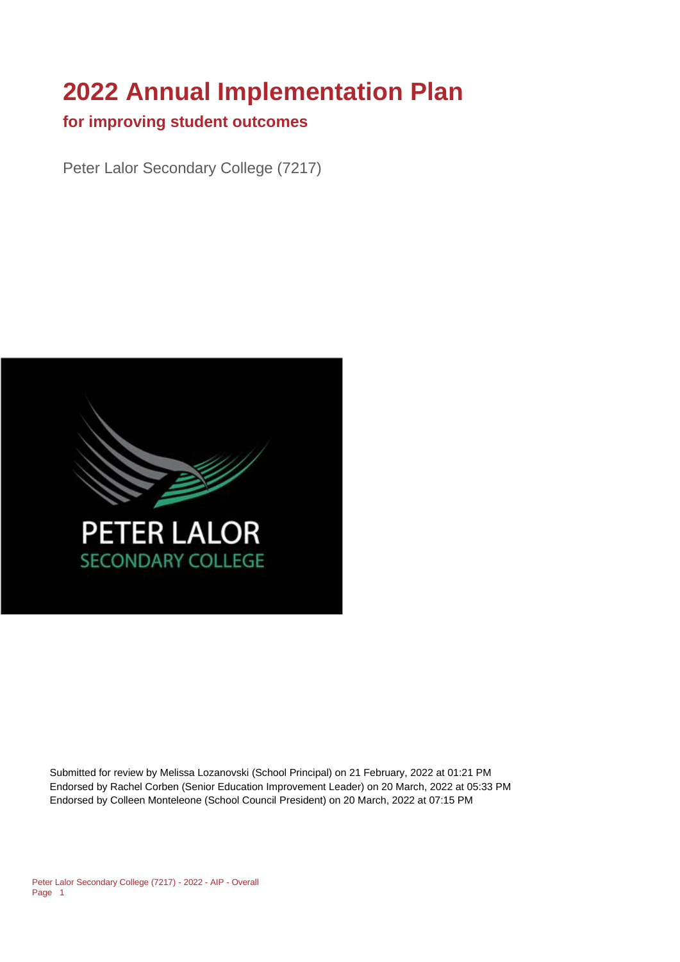# **2022 Annual Implementation Plan**

### **for improving student outcomes**

Peter Lalor Secondary College (7217)



Submitted for review by Melissa Lozanovski (School Principal) on 21 February, 2022 at 01:21 PM Endorsed by Rachel Corben (Senior Education Improvement Leader) on 20 March, 2022 at 05:33 PM Endorsed by Colleen Monteleone (School Council President) on 20 March, 2022 at 07:15 PM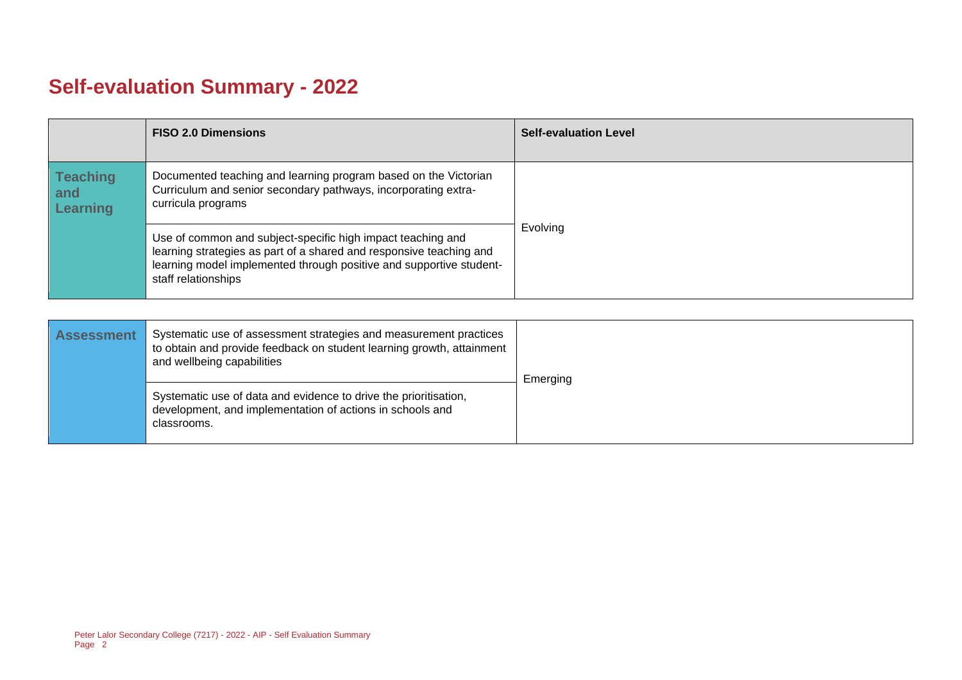# **Self-evaluation Summary - 2022**

|                                           | <b>FISO 2.0 Dimensions</b>                                                                                                                                                                                                       | <b>Self-evaluation Level</b> |
|-------------------------------------------|----------------------------------------------------------------------------------------------------------------------------------------------------------------------------------------------------------------------------------|------------------------------|
| <b>Teaching</b><br>and<br><b>Learning</b> | Documented teaching and learning program based on the Victorian<br>Curriculum and senior secondary pathways, incorporating extra-<br>curricula programs                                                                          |                              |
|                                           | Use of common and subject-specific high impact teaching and<br>learning strategies as part of a shared and responsive teaching and<br>learning model implemented through positive and supportive student-<br>staff relationships | Evolving                     |

| <b>Assessment</b> | Systematic use of assessment strategies and measurement practices<br>to obtain and provide feedback on student learning growth, attainment<br>and wellbeing capabilities | Emerging |
|-------------------|--------------------------------------------------------------------------------------------------------------------------------------------------------------------------|----------|
|                   | Systematic use of data and evidence to drive the prioritisation,<br>development, and implementation of actions in schools and<br>classrooms.                             |          |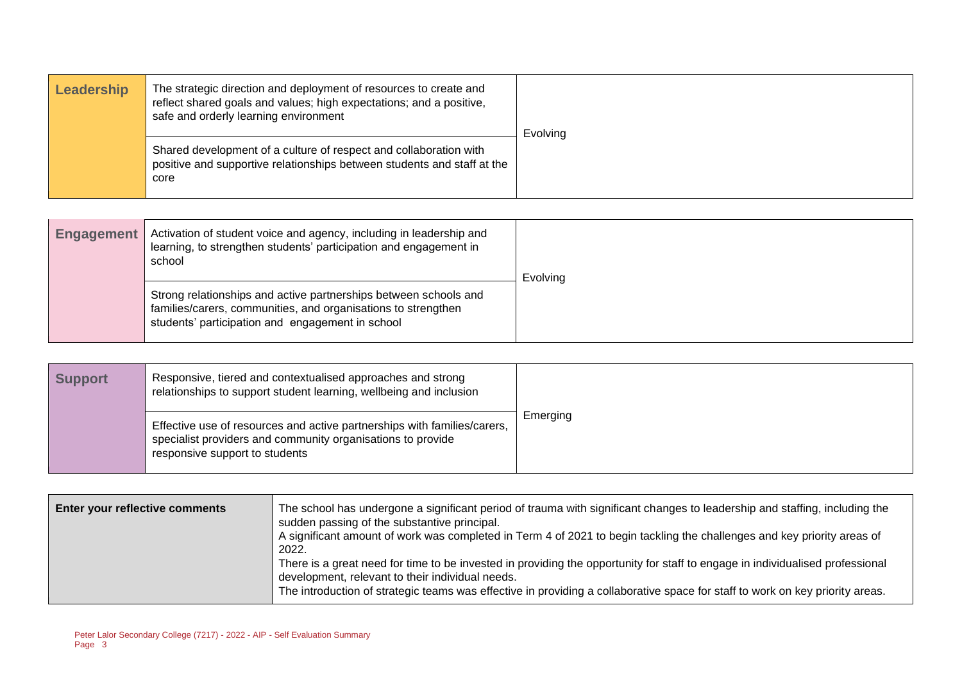| Leadership | The strategic direction and deployment of resources to create and<br>reflect shared goals and values; high expectations; and a positive,<br>safe and orderly learning environment | Evolving |
|------------|-----------------------------------------------------------------------------------------------------------------------------------------------------------------------------------|----------|
|            | Shared development of a culture of respect and collaboration with<br>positive and supportive relationships between students and staff at the<br>core                              |          |

| <b>Engagement</b> | Activation of student voice and agency, including in leadership and<br>learning, to strengthen students' participation and engagement in<br>school                                    | Evolving |
|-------------------|---------------------------------------------------------------------------------------------------------------------------------------------------------------------------------------|----------|
|                   | Strong relationships and active partnerships between schools and<br>families/carers, communities, and organisations to strengthen<br>students' participation and engagement in school |          |

| <b>Support</b> | Responsive, tiered and contextualised approaches and strong<br>relationships to support student learning, wellbeing and inclusion                                         |          |
|----------------|---------------------------------------------------------------------------------------------------------------------------------------------------------------------------|----------|
|                | Effective use of resources and active partnerships with families/carers,<br>specialist providers and community organisations to provide<br>responsive support to students | Emerging |

| The school has undergone a significant period of trauma with significant changes to leadership and staffing, including the<br>Enter your reflective comments<br>sudden passing of the substantive principal.<br>A significant amount of work was completed in Term 4 of 2021 to begin tackling the challenges and key priority areas of<br>2022.<br>There is a great need for time to be invested in providing the opportunity for staff to engage in individualised professional<br>development, relevant to their individual needs.<br>The introduction of strategic teams was effective in providing a collaborative space for staff to work on key priority areas. |  |
|------------------------------------------------------------------------------------------------------------------------------------------------------------------------------------------------------------------------------------------------------------------------------------------------------------------------------------------------------------------------------------------------------------------------------------------------------------------------------------------------------------------------------------------------------------------------------------------------------------------------------------------------------------------------|--|
|------------------------------------------------------------------------------------------------------------------------------------------------------------------------------------------------------------------------------------------------------------------------------------------------------------------------------------------------------------------------------------------------------------------------------------------------------------------------------------------------------------------------------------------------------------------------------------------------------------------------------------------------------------------------|--|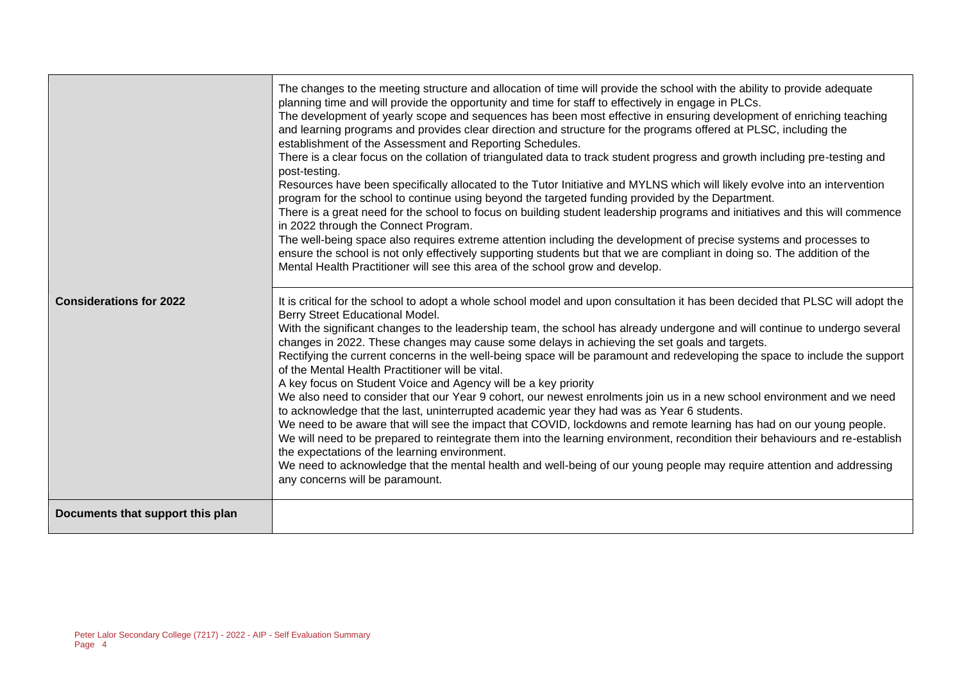|                                  | The changes to the meeting structure and allocation of time will provide the school with the ability to provide adequate<br>planning time and will provide the opportunity and time for staff to effectively in engage in PLCs.<br>The development of yearly scope and sequences has been most effective in ensuring development of enriching teaching<br>and learning programs and provides clear direction and structure for the programs offered at PLSC, including the<br>establishment of the Assessment and Reporting Schedules.<br>There is a clear focus on the collation of triangulated data to track student progress and growth including pre-testing and<br>post-testing.<br>Resources have been specifically allocated to the Tutor Initiative and MYLNS which will likely evolve into an intervention<br>program for the school to continue using beyond the targeted funding provided by the Department.<br>There is a great need for the school to focus on building student leadership programs and initiatives and this will commence<br>in 2022 through the Connect Program.<br>The well-being space also requires extreme attention including the development of precise systems and processes to<br>ensure the school is not only effectively supporting students but that we are compliant in doing so. The addition of the<br>Mental Health Practitioner will see this area of the school grow and develop. |
|----------------------------------|-------------------------------------------------------------------------------------------------------------------------------------------------------------------------------------------------------------------------------------------------------------------------------------------------------------------------------------------------------------------------------------------------------------------------------------------------------------------------------------------------------------------------------------------------------------------------------------------------------------------------------------------------------------------------------------------------------------------------------------------------------------------------------------------------------------------------------------------------------------------------------------------------------------------------------------------------------------------------------------------------------------------------------------------------------------------------------------------------------------------------------------------------------------------------------------------------------------------------------------------------------------------------------------------------------------------------------------------------------------------------------------------------------------------------------------|
| <b>Considerations for 2022</b>   | It is critical for the school to adopt a whole school model and upon consultation it has been decided that PLSC will adopt the<br>Berry Street Educational Model.<br>With the significant changes to the leadership team, the school has already undergone and will continue to undergo several<br>changes in 2022. These changes may cause some delays in achieving the set goals and targets.<br>Rectifying the current concerns in the well-being space will be paramount and redeveloping the space to include the support<br>of the Mental Health Practitioner will be vital.<br>A key focus on Student Voice and Agency will be a key priority<br>We also need to consider that our Year 9 cohort, our newest enrolments join us in a new school environment and we need<br>to acknowledge that the last, uninterrupted academic year they had was as Year 6 students.<br>We need to be aware that will see the impact that COVID, lockdowns and remote learning has had on our young people.<br>We will need to be prepared to reintegrate them into the learning environment, recondition their behaviours and re-establish<br>the expectations of the learning environment.<br>We need to acknowledge that the mental health and well-being of our young people may require attention and addressing<br>any concerns will be paramount.                                                                                    |
| Documents that support this plan |                                                                                                                                                                                                                                                                                                                                                                                                                                                                                                                                                                                                                                                                                                                                                                                                                                                                                                                                                                                                                                                                                                                                                                                                                                                                                                                                                                                                                                     |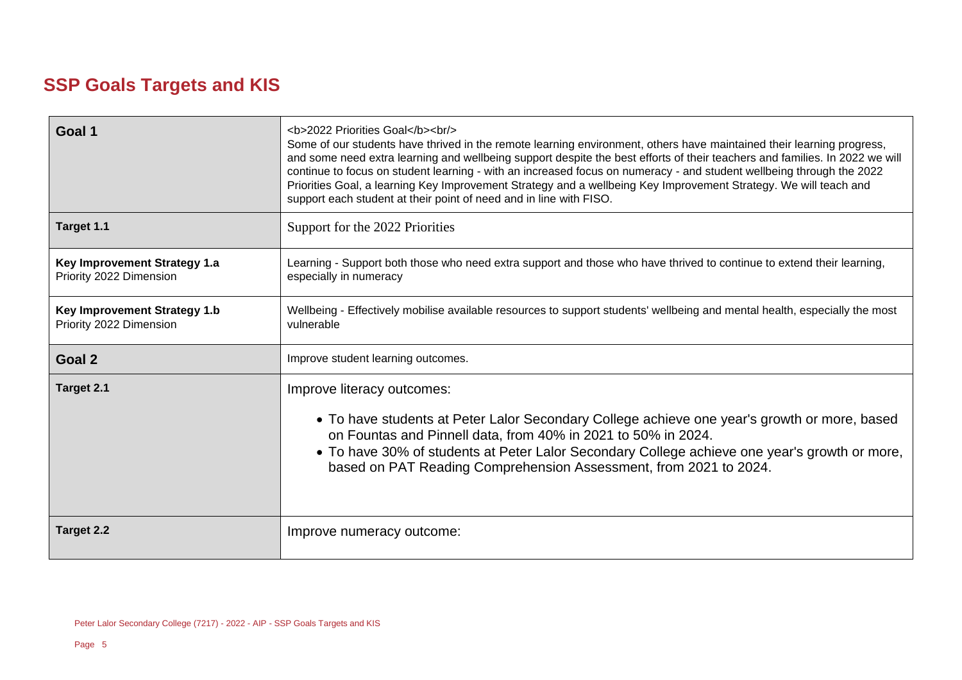# **SSP Goals Targets and KIS**

| Goal 1                                                         | <b>2022 Priorities Goal</b><br><br><br>Some of our students have thrived in the remote learning environment, others have maintained their learning progress,<br>and some need extra learning and wellbeing support despite the best efforts of their teachers and families. In 2022 we will<br>continue to focus on student learning - with an increased focus on numeracy - and student wellbeing through the 2022<br>Priorities Goal, a learning Key Improvement Strategy and a wellbeing Key Improvement Strategy. We will teach and<br>support each student at their point of need and in line with FISO. |
|----------------------------------------------------------------|---------------------------------------------------------------------------------------------------------------------------------------------------------------------------------------------------------------------------------------------------------------------------------------------------------------------------------------------------------------------------------------------------------------------------------------------------------------------------------------------------------------------------------------------------------------------------------------------------------------|
| Target 1.1                                                     | Support for the 2022 Priorities                                                                                                                                                                                                                                                                                                                                                                                                                                                                                                                                                                               |
| Key Improvement Strategy 1.a<br>Priority 2022 Dimension        | Learning - Support both those who need extra support and those who have thrived to continue to extend their learning,<br>especially in numeracy                                                                                                                                                                                                                                                                                                                                                                                                                                                               |
| <b>Key Improvement Strategy 1.b</b><br>Priority 2022 Dimension | Wellbeing - Effectively mobilise available resources to support students' wellbeing and mental health, especially the most<br>vulnerable                                                                                                                                                                                                                                                                                                                                                                                                                                                                      |
| Goal 2                                                         | Improve student learning outcomes.                                                                                                                                                                                                                                                                                                                                                                                                                                                                                                                                                                            |
| Target 2.1                                                     | Improve literacy outcomes:<br>• To have students at Peter Lalor Secondary College achieve one year's growth or more, based<br>on Fountas and Pinnell data, from 40% in 2021 to 50% in 2024.<br>• To have 30% of students at Peter Lalor Secondary College achieve one year's growth or more,<br>based on PAT Reading Comprehension Assessment, from 2021 to 2024.                                                                                                                                                                                                                                             |
| <b>Target 2.2</b>                                              | Improve numeracy outcome:                                                                                                                                                                                                                                                                                                                                                                                                                                                                                                                                                                                     |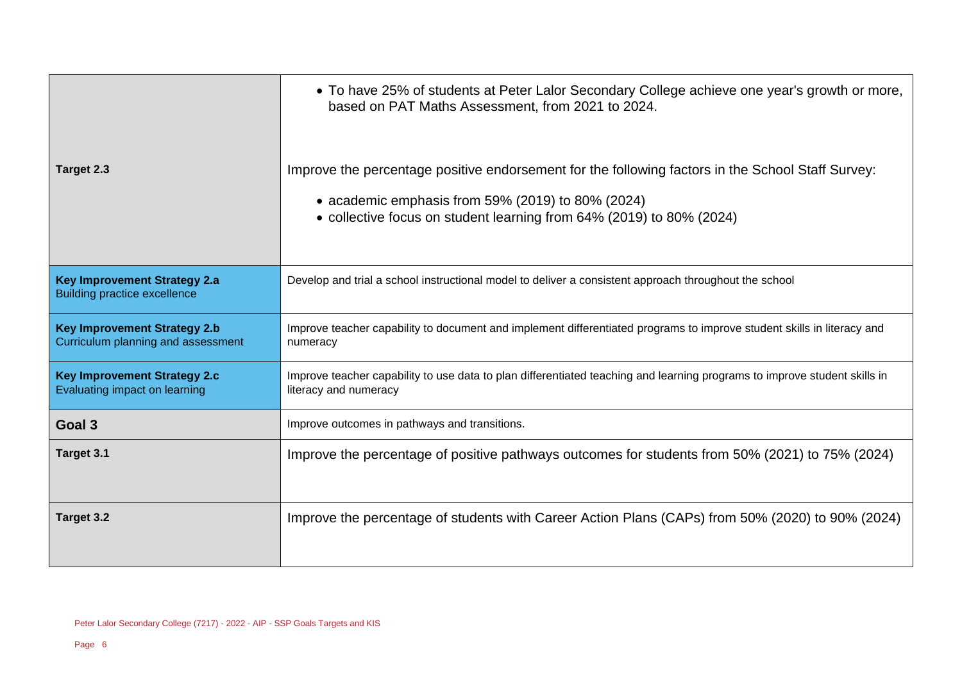|                                                                            | • To have 25% of students at Peter Lalor Secondary College achieve one year's growth or more,<br>based on PAT Maths Assessment, from 2021 to 2024.                                                                             |
|----------------------------------------------------------------------------|--------------------------------------------------------------------------------------------------------------------------------------------------------------------------------------------------------------------------------|
| Target 2.3                                                                 | Improve the percentage positive endorsement for the following factors in the School Staff Survey:<br>• academic emphasis from 59% (2019) to 80% (2024)<br>• collective focus on student learning from 64% (2019) to 80% (2024) |
| <b>Key Improvement Strategy 2.a</b><br><b>Building practice excellence</b> | Develop and trial a school instructional model to deliver a consistent approach throughout the school                                                                                                                          |
| <b>Key Improvement Strategy 2.b</b><br>Curriculum planning and assessment  | Improve teacher capability to document and implement differentiated programs to improve student skills in literacy and<br>numeracy                                                                                             |
| <b>Key Improvement Strategy 2.c</b><br>Evaluating impact on learning       | Improve teacher capability to use data to plan differentiated teaching and learning programs to improve student skills in<br>literacy and numeracy                                                                             |
| Goal 3                                                                     | Improve outcomes in pathways and transitions.                                                                                                                                                                                  |
| Target 3.1                                                                 | Improve the percentage of positive pathways outcomes for students from 50% (2021) to 75% (2024)                                                                                                                                |
| Target 3.2                                                                 | Improve the percentage of students with Career Action Plans (CAPs) from 50% (2020) to 90% (2024)                                                                                                                               |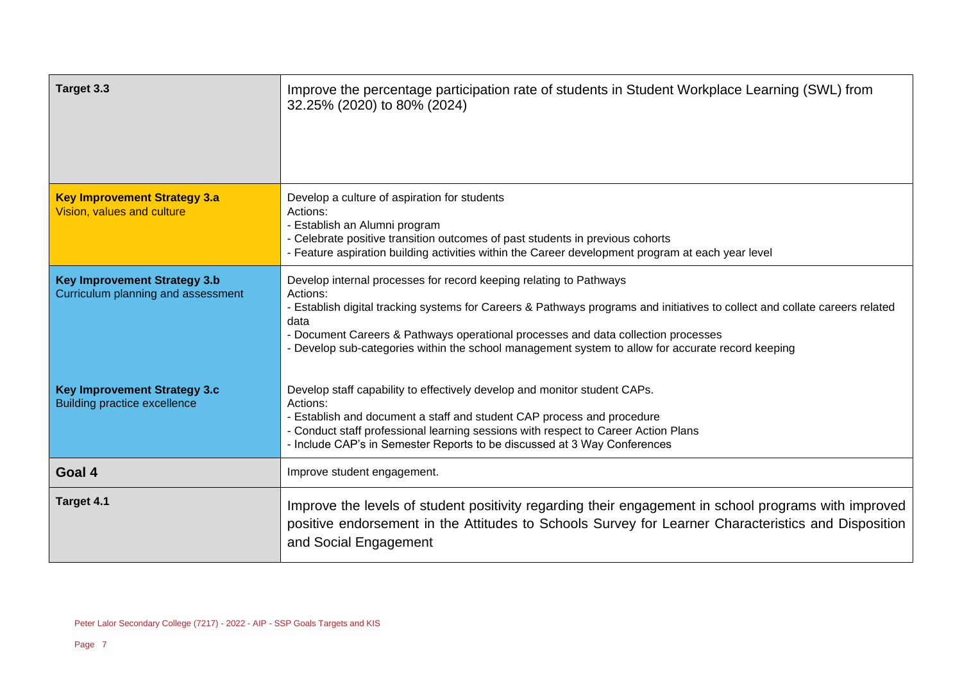| Target 3.3                                                                 | Improve the percentage participation rate of students in Student Workplace Learning (SWL) from<br>32.25% (2020) to 80% (2024)                                                                                                                                                                                                                                                                                   |
|----------------------------------------------------------------------------|-----------------------------------------------------------------------------------------------------------------------------------------------------------------------------------------------------------------------------------------------------------------------------------------------------------------------------------------------------------------------------------------------------------------|
| <b>Key Improvement Strategy 3.a</b><br>Vision, values and culture          | Develop a culture of aspiration for students<br>Actions:<br>- Establish an Alumni program<br>- Celebrate positive transition outcomes of past students in previous cohorts<br>- Feature aspiration building activities within the Career development program at each year level                                                                                                                                 |
| <b>Key Improvement Strategy 3.b</b><br>Curriculum planning and assessment  | Develop internal processes for record keeping relating to Pathways<br>Actions:<br>- Establish digital tracking systems for Careers & Pathways programs and initiatives to collect and collate careers related<br>data<br>- Document Careers & Pathways operational processes and data collection processes<br>- Develop sub-categories within the school management system to allow for accurate record keeping |
| <b>Key Improvement Strategy 3.c</b><br><b>Building practice excellence</b> | Develop staff capability to effectively develop and monitor student CAPs.<br>Actions:<br>- Establish and document a staff and student CAP process and procedure<br>- Conduct staff professional learning sessions with respect to Career Action Plans<br>- Include CAP's in Semester Reports to be discussed at 3 Way Conferences                                                                               |
| Goal 4                                                                     | Improve student engagement.                                                                                                                                                                                                                                                                                                                                                                                     |
| Target 4.1                                                                 | Improve the levels of student positivity regarding their engagement in school programs with improved<br>positive endorsement in the Attitudes to Schools Survey for Learner Characteristics and Disposition<br>and Social Engagement                                                                                                                                                                            |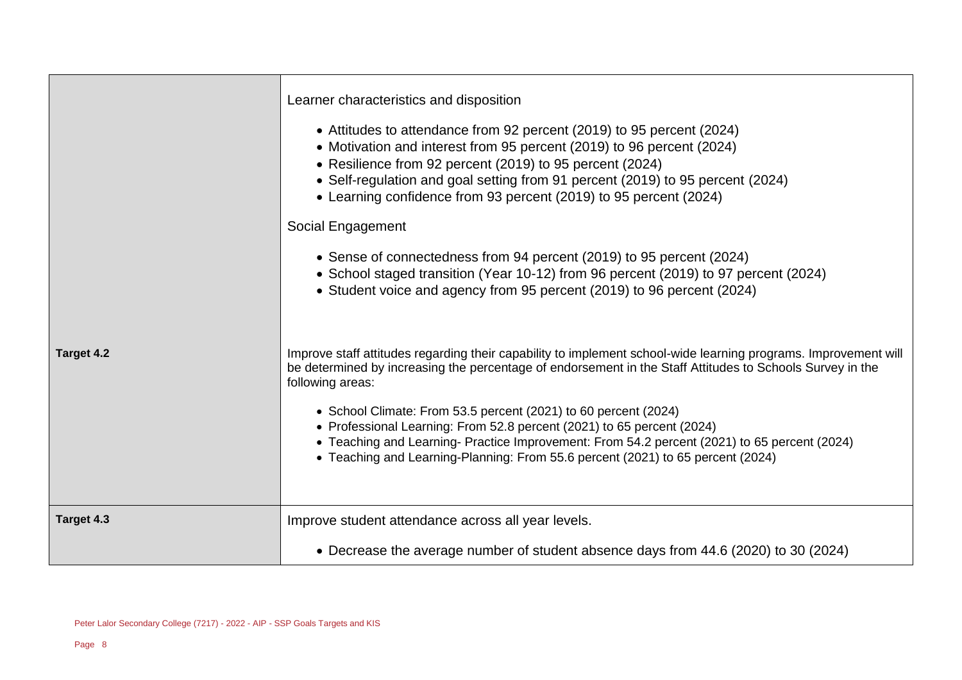|            | Learner characteristics and disposition<br>• Attitudes to attendance from 92 percent (2019) to 95 percent (2024)<br>• Motivation and interest from 95 percent (2019) to 96 percent (2024)<br>• Resilience from 92 percent (2019) to 95 percent (2024)<br>• Self-regulation and goal setting from 91 percent (2019) to 95 percent (2024)<br>• Learning confidence from 93 percent (2019) to 95 percent (2024)<br>Social Engagement<br>• Sense of connectedness from 94 percent (2019) to 95 percent (2024)<br>• School staged transition (Year 10-12) from 96 percent (2019) to 97 percent (2024)<br>• Student voice and agency from 95 percent (2019) to 96 percent (2024) |
|------------|----------------------------------------------------------------------------------------------------------------------------------------------------------------------------------------------------------------------------------------------------------------------------------------------------------------------------------------------------------------------------------------------------------------------------------------------------------------------------------------------------------------------------------------------------------------------------------------------------------------------------------------------------------------------------|
| Target 4.2 | Improve staff attitudes regarding their capability to implement school-wide learning programs. Improvement will<br>be determined by increasing the percentage of endorsement in the Staff Attitudes to Schools Survey in the<br>following areas:<br>• School Climate: From 53.5 percent (2021) to 60 percent (2024)<br>• Professional Learning: From 52.8 percent (2021) to 65 percent (2024)<br>• Teaching and Learning- Practice Improvement: From 54.2 percent (2021) to 65 percent (2024)<br>• Teaching and Learning-Planning: From 55.6 percent (2021) to 65 percent (2024)                                                                                           |
| Target 4.3 | Improve student attendance across all year levels.<br>• Decrease the average number of student absence days from 44.6 (2020) to 30 (2024)                                                                                                                                                                                                                                                                                                                                                                                                                                                                                                                                  |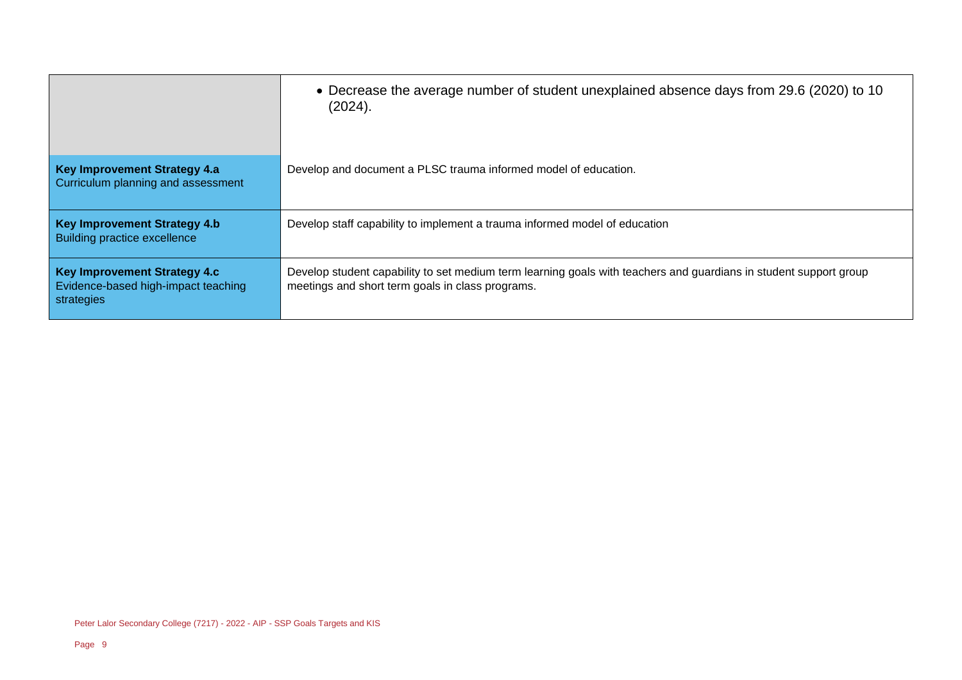|                                                                                          | • Decrease the average number of student unexplained absence days from 29.6 (2020) to 10<br>(2024).                                                                   |
|------------------------------------------------------------------------------------------|-----------------------------------------------------------------------------------------------------------------------------------------------------------------------|
| <b>Key Improvement Strategy 4.a</b><br>Curriculum planning and assessment                | Develop and document a PLSC trauma informed model of education.                                                                                                       |
| <b>Key Improvement Strategy 4.b</b><br>Building practice excellence                      | Develop staff capability to implement a trauma informed model of education                                                                                            |
| <b>Key Improvement Strategy 4.c</b><br>Evidence-based high-impact teaching<br>strategies | Develop student capability to set medium term learning goals with teachers and quardians in student support group<br>meetings and short term goals in class programs. |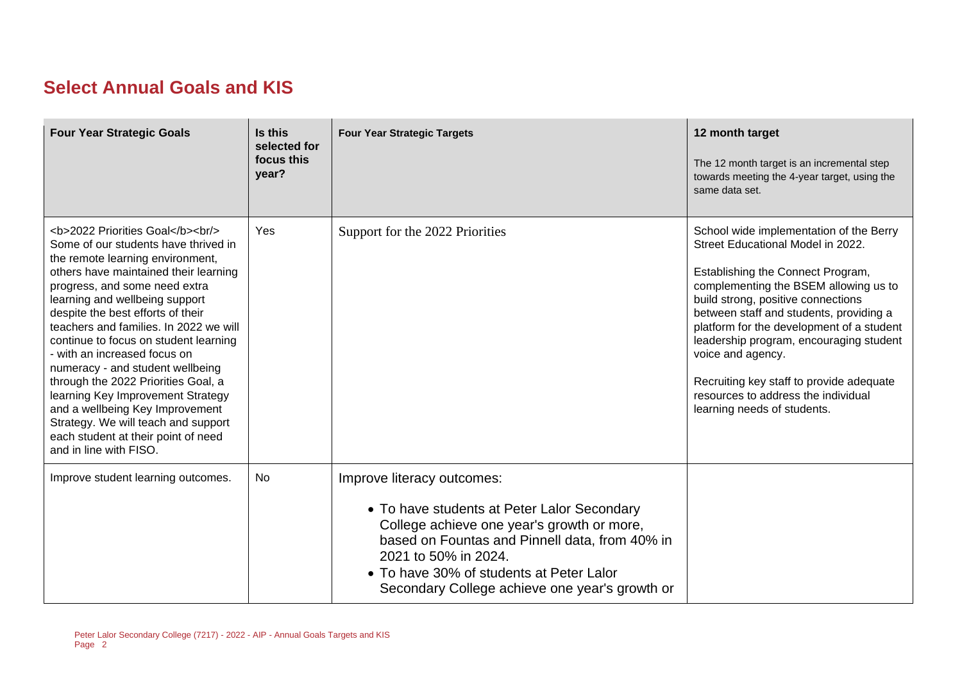## **Select Annual Goals and KIS**

| <b>Four Year Strategic Goals</b>                                                                                                                                                              | Is this<br>selected for<br>focus this<br>year? | <b>Four Year Strategic Targets</b>                                                                                                                                                                                                                                                              | 12 month target<br>The 12 month target is an incremental step<br>towards meeting the 4-year target, using the<br>same data set.                                                                                                                                                                                                                                                                                                                                            |
|-----------------------------------------------------------------------------------------------------------------------------------------------------------------------------------------------|------------------------------------------------|-------------------------------------------------------------------------------------------------------------------------------------------------------------------------------------------------------------------------------------------------------------------------------------------------|----------------------------------------------------------------------------------------------------------------------------------------------------------------------------------------------------------------------------------------------------------------------------------------------------------------------------------------------------------------------------------------------------------------------------------------------------------------------------|
| <b>2022 Priorities Goal</b><br><br><br>Some of our students have thrived in<br>the remote learning environment,<br>others have maintained their learning<br>progress, and some need extra<br> | Yes                                            | Support for the 2022 Priorities                                                                                                                                                                                                                                                                 | School wide implementation of the Berry<br>Street Educational Model in 2022.<br>Establishing the Connect Program,<br>complementing the BSEM allowing us to<br>build strong, positive connections<br>between staff and students, providing a<br>platform for the development of a student<br>leadership program, encouraging student<br>voice and agency.<br>Recruiting key staff to provide adequate<br>resources to address the individual<br>learning needs of students. |
| Improve student learning outcomes.                                                                                                                                                            | No                                             | Improve literacy outcomes:<br>• To have students at Peter Lalor Secondary<br>College achieve one year's growth or more,<br>based on Fountas and Pinnell data, from 40% in<br>2021 to 50% in 2024.<br>• To have 30% of students at Peter Lalor<br>Secondary College achieve one year's growth or |                                                                                                                                                                                                                                                                                                                                                                                                                                                                            |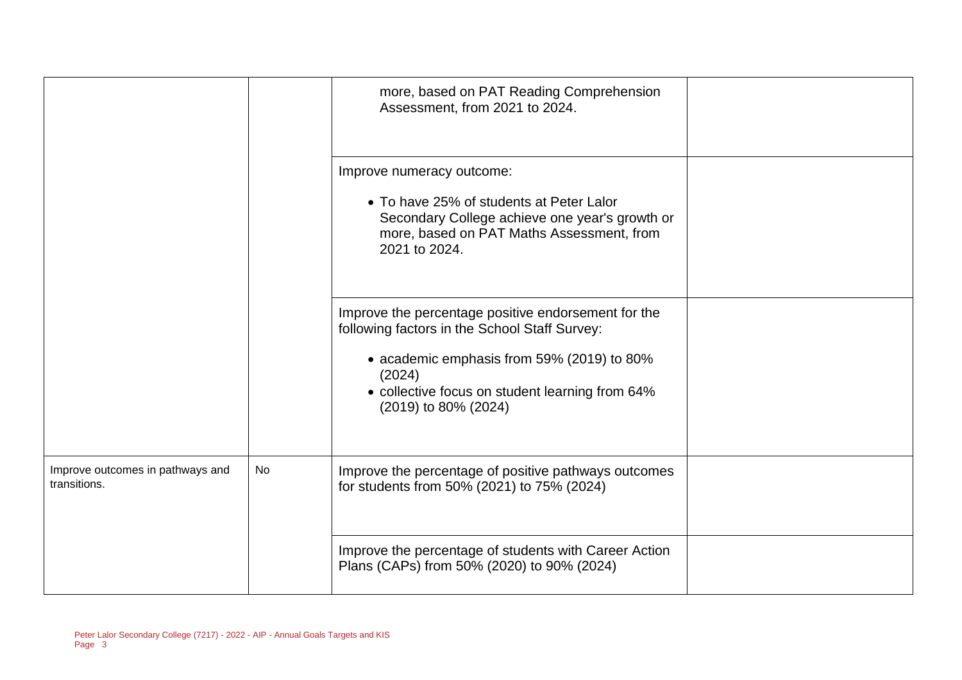|                                                  |           | more, based on PAT Reading Comprehension<br>Assessment, from 2021 to 2024.                                                                                                                                                              |  |
|--------------------------------------------------|-----------|-----------------------------------------------------------------------------------------------------------------------------------------------------------------------------------------------------------------------------------------|--|
|                                                  |           | Improve numeracy outcome:<br>• To have 25% of students at Peter Lalor<br>Secondary College achieve one year's growth or<br>more, based on PAT Maths Assessment, from<br>2021 to 2024.                                                   |  |
|                                                  |           | Improve the percentage positive endorsement for the<br>following factors in the School Staff Survey:<br>• academic emphasis from 59% (2019) to 80%<br>(2024)<br>• collective focus on student learning from 64%<br>(2019) to 80% (2024) |  |
| Improve outcomes in pathways and<br>transitions. | <b>No</b> | Improve the percentage of positive pathways outcomes<br>for students from 50% (2021) to 75% (2024)                                                                                                                                      |  |
|                                                  |           | Improve the percentage of students with Career Action<br>Plans (CAPs) from 50% (2020) to 90% (2024)                                                                                                                                     |  |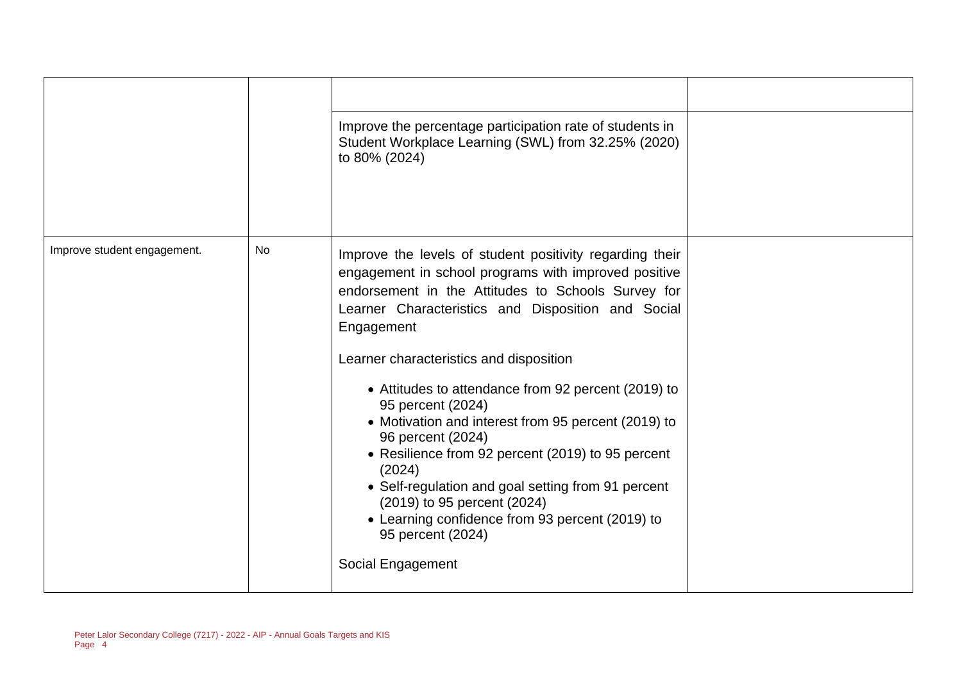|                             |           | Improve the percentage participation rate of students in<br>Student Workplace Learning (SWL) from 32.25% (2020)<br>to 80% (2024)                                                                                                                                                                                                                                                                                                                                                                                                                                                                                                                                                               |  |
|-----------------------------|-----------|------------------------------------------------------------------------------------------------------------------------------------------------------------------------------------------------------------------------------------------------------------------------------------------------------------------------------------------------------------------------------------------------------------------------------------------------------------------------------------------------------------------------------------------------------------------------------------------------------------------------------------------------------------------------------------------------|--|
| Improve student engagement. | <b>No</b> | Improve the levels of student positivity regarding their<br>engagement in school programs with improved positive<br>endorsement in the Attitudes to Schools Survey for<br>Learner Characteristics and Disposition and Social<br>Engagement<br>Learner characteristics and disposition<br>• Attitudes to attendance from 92 percent (2019) to<br>95 percent (2024)<br>• Motivation and interest from 95 percent (2019) to<br>96 percent (2024)<br>• Resilience from 92 percent (2019) to 95 percent<br>(2024)<br>• Self-regulation and goal setting from 91 percent<br>(2019) to 95 percent (2024)<br>• Learning confidence from 93 percent (2019) to<br>95 percent (2024)<br>Social Engagement |  |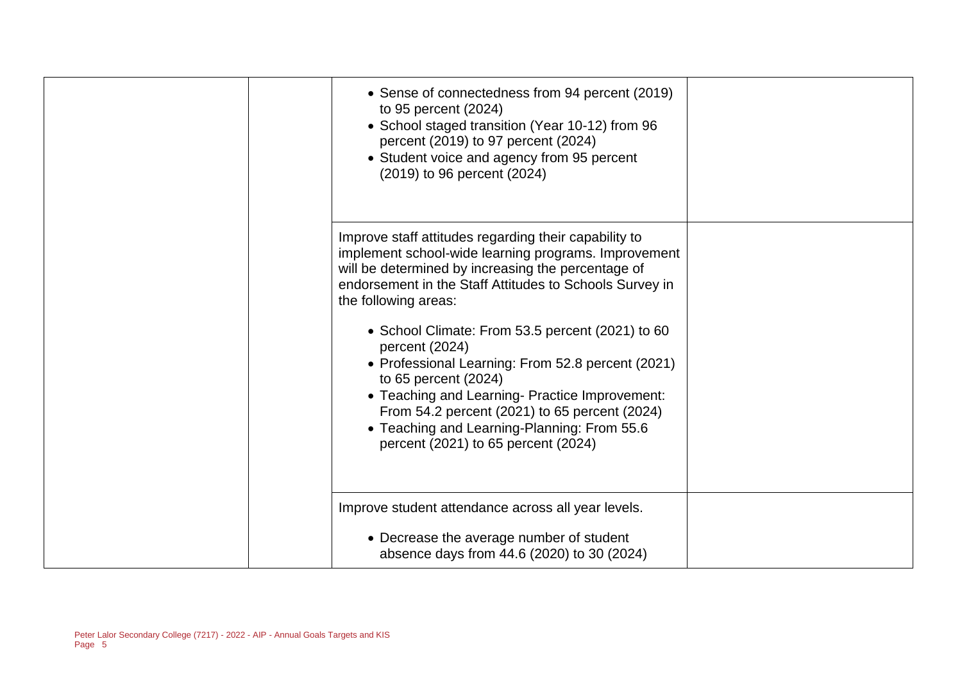| • Sense of connectedness from 94 percent (2019)<br>to 95 percent (2024)<br>• School staged transition (Year 10-12) from 96<br>percent (2019) to 97 percent (2024)<br>• Student voice and agency from 95 percent<br>(2019) to 96 percent (2024)                                                                                                                                                                                                                                                                                                                                                     |  |
|----------------------------------------------------------------------------------------------------------------------------------------------------------------------------------------------------------------------------------------------------------------------------------------------------------------------------------------------------------------------------------------------------------------------------------------------------------------------------------------------------------------------------------------------------------------------------------------------------|--|
| Improve staff attitudes regarding their capability to<br>implement school-wide learning programs. Improvement<br>will be determined by increasing the percentage of<br>endorsement in the Staff Attitudes to Schools Survey in<br>the following areas:<br>• School Climate: From 53.5 percent (2021) to 60<br>percent (2024)<br>• Professional Learning: From 52.8 percent (2021)<br>to 65 percent (2024)<br>• Teaching and Learning- Practice Improvement:<br>From 54.2 percent (2021) to 65 percent (2024)<br>• Teaching and Learning-Planning: From 55.6<br>percent (2021) to 65 percent (2024) |  |
| Improve student attendance across all year levels.<br>• Decrease the average number of student<br>absence days from 44.6 (2020) to 30 (2024)                                                                                                                                                                                                                                                                                                                                                                                                                                                       |  |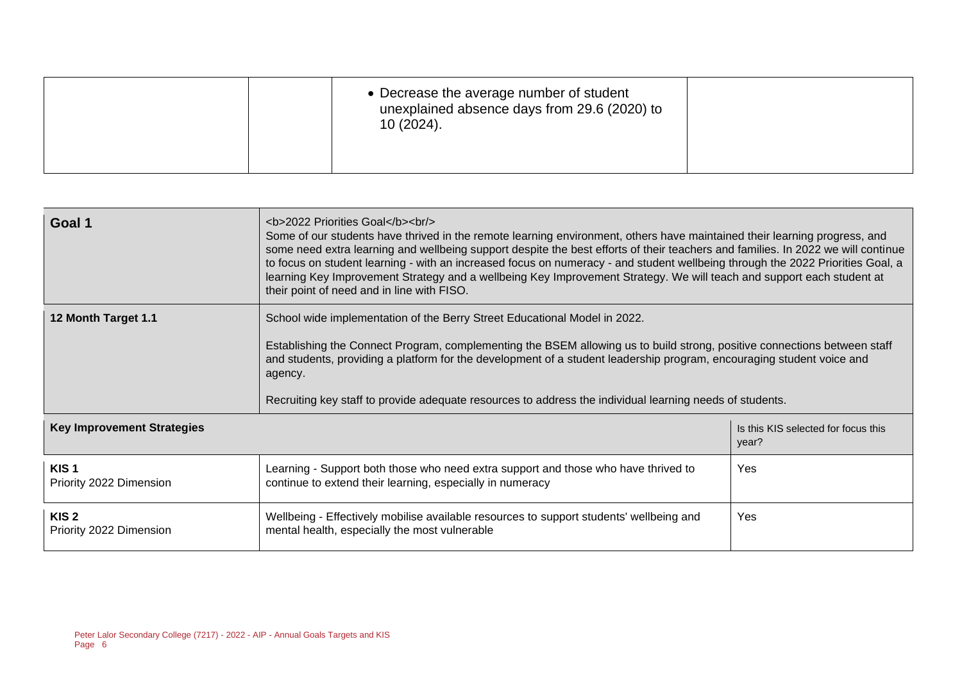| 10 (2024). |  | • Decrease the average number of student<br>unexplained absence days from 29.6 (2020) to |  |
|------------|--|------------------------------------------------------------------------------------------|--|
|------------|--|------------------------------------------------------------------------------------------|--|

| Goal 1                                                                            | <b>2022 Priorities Goal</b><br>Some of our students have thrived in the remote learning environment, others have maintained their learning progress, and<br>some need extra learning and wellbeing support despite the best efforts of their teachers and families. In 2022 we will continue<br>to focus on student learning - with an increased focus on numeracy - and student wellbeing through the 2022 Priorities Goal, a<br>learning Key Improvement Strategy and a wellbeing Key Improvement Strategy. We will teach and support each student at<br>their point of need and in line with FISO. |     |  |  |  |
|-----------------------------------------------------------------------------------|-------------------------------------------------------------------------------------------------------------------------------------------------------------------------------------------------------------------------------------------------------------------------------------------------------------------------------------------------------------------------------------------------------------------------------------------------------------------------------------------------------------------------------------------------------------------------------------------------------|-----|--|--|--|
| 12 Month Target 1.1                                                               | School wide implementation of the Berry Street Educational Model in 2022.<br>Establishing the Connect Program, complementing the BSEM allowing us to build strong, positive connections between staff<br>and students, providing a platform for the development of a student leadership program, encouraging student voice and<br>agency.<br>Recruiting key staff to provide adequate resources to address the individual learning needs of students.                                                                                                                                                 |     |  |  |  |
| <b>Key Improvement Strategies</b><br>Is this KIS selected for focus this<br>year? |                                                                                                                                                                                                                                                                                                                                                                                                                                                                                                                                                                                                       |     |  |  |  |
| KIS <sub>1</sub><br>Priority 2022 Dimension                                       | Learning - Support both those who need extra support and those who have thrived to<br>Yes<br>continue to extend their learning, especially in numeracy                                                                                                                                                                                                                                                                                                                                                                                                                                                |     |  |  |  |
| KIS <sub>2</sub><br>Priority 2022 Dimension                                       | Wellbeing - Effectively mobilise available resources to support students' wellbeing and<br>mental health, especially the most vulnerable                                                                                                                                                                                                                                                                                                                                                                                                                                                              | Yes |  |  |  |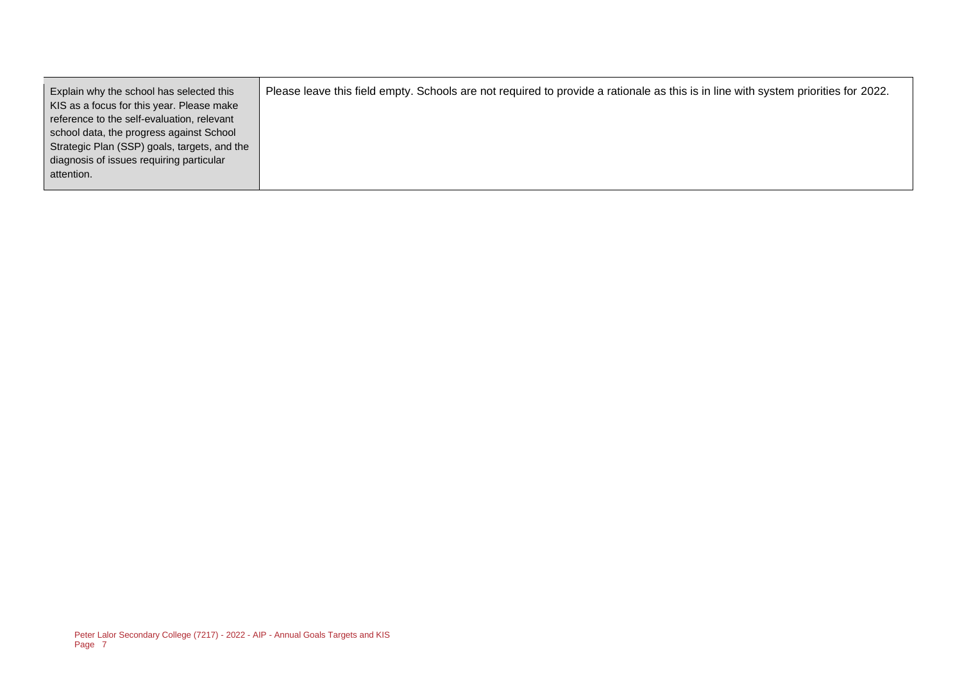| Explain why the school has selected this     | Please leave this field empty. Schools are not required to provide a rationale as this is in line with system priorities for 2022. |
|----------------------------------------------|------------------------------------------------------------------------------------------------------------------------------------|
| KIS as a focus for this year. Please make    |                                                                                                                                    |
| reference to the self-evaluation, relevant   |                                                                                                                                    |
| school data, the progress against School     |                                                                                                                                    |
| Strategic Plan (SSP) goals, targets, and the |                                                                                                                                    |
| diagnosis of issues requiring particular     |                                                                                                                                    |
| attention.                                   |                                                                                                                                    |
|                                              |                                                                                                                                    |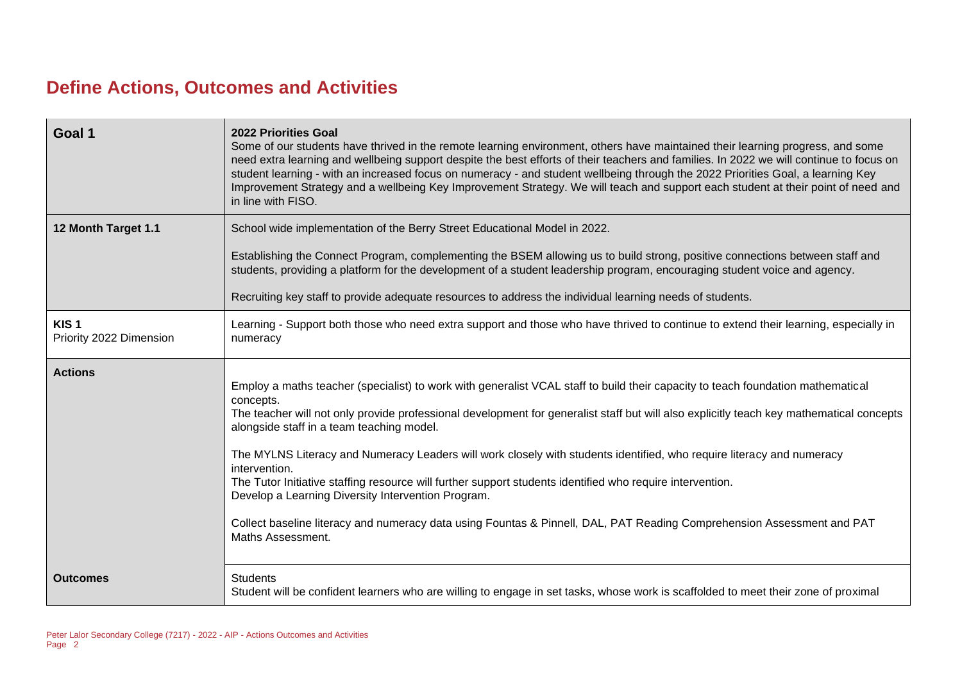## **Define Actions, Outcomes and Activities**

| Goal 1                                      | <b>2022 Priorities Goal</b><br>Some of our students have thrived in the remote learning environment, others have maintained their learning progress, and some<br>need extra learning and wellbeing support despite the best efforts of their teachers and families. In 2022 we will continue to focus on<br>student learning - with an increased focus on numeracy - and student wellbeing through the 2022 Priorities Goal, a learning Key<br>Improvement Strategy and a wellbeing Key Improvement Strategy. We will teach and support each student at their point of need and<br>in line with FISO.                                                                                                                                                                                             |
|---------------------------------------------|---------------------------------------------------------------------------------------------------------------------------------------------------------------------------------------------------------------------------------------------------------------------------------------------------------------------------------------------------------------------------------------------------------------------------------------------------------------------------------------------------------------------------------------------------------------------------------------------------------------------------------------------------------------------------------------------------------------------------------------------------------------------------------------------------|
| 12 Month Target 1.1                         | School wide implementation of the Berry Street Educational Model in 2022.                                                                                                                                                                                                                                                                                                                                                                                                                                                                                                                                                                                                                                                                                                                         |
|                                             | Establishing the Connect Program, complementing the BSEM allowing us to build strong, positive connections between staff and<br>students, providing a platform for the development of a student leadership program, encouraging student voice and agency.                                                                                                                                                                                                                                                                                                                                                                                                                                                                                                                                         |
|                                             | Recruiting key staff to provide adequate resources to address the individual learning needs of students.                                                                                                                                                                                                                                                                                                                                                                                                                                                                                                                                                                                                                                                                                          |
| KIS <sub>1</sub><br>Priority 2022 Dimension | Learning - Support both those who need extra support and those who have thrived to continue to extend their learning, especially in<br>numeracy                                                                                                                                                                                                                                                                                                                                                                                                                                                                                                                                                                                                                                                   |
| <b>Actions</b>                              | Employ a maths teacher (specialist) to work with generalist VCAL staff to build their capacity to teach foundation mathematical<br>concepts.<br>The teacher will not only provide professional development for generalist staff but will also explicitly teach key mathematical concepts<br>alongside staff in a team teaching model.<br>The MYLNS Literacy and Numeracy Leaders will work closely with students identified, who require literacy and numeracy<br>intervention.<br>The Tutor Initiative staffing resource will further support students identified who require intervention.<br>Develop a Learning Diversity Intervention Program.<br>Collect baseline literacy and numeracy data using Fountas & Pinnell, DAL, PAT Reading Comprehension Assessment and PAT<br>Maths Assessment. |
| <b>Outcomes</b>                             | <b>Students</b><br>Student will be confident learners who are willing to engage in set tasks, whose work is scaffolded to meet their zone of proximal                                                                                                                                                                                                                                                                                                                                                                                                                                                                                                                                                                                                                                             |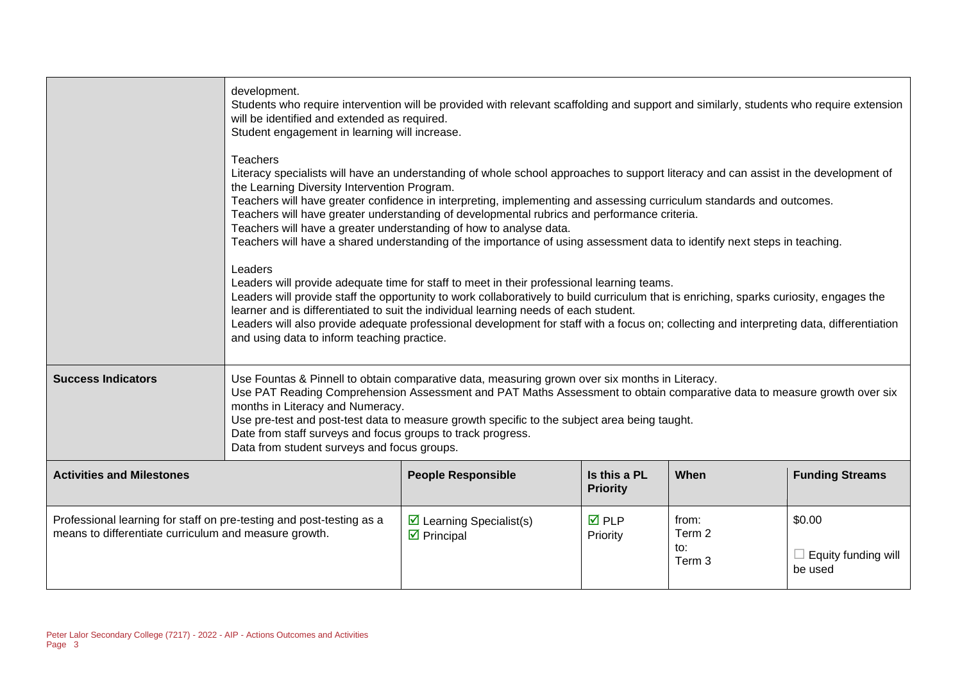|                                                                                                                               | development.<br>Students who require intervention will be provided with relevant scaffolding and support and similarly, students who require extension<br>will be identified and extended as required.<br>Student engagement in learning will increase.                                                                                                                                                                                                                                                                                                                                                                         |                                                                       |                                 |                                             |                                                 |  |
|-------------------------------------------------------------------------------------------------------------------------------|---------------------------------------------------------------------------------------------------------------------------------------------------------------------------------------------------------------------------------------------------------------------------------------------------------------------------------------------------------------------------------------------------------------------------------------------------------------------------------------------------------------------------------------------------------------------------------------------------------------------------------|-----------------------------------------------------------------------|---------------------------------|---------------------------------------------|-------------------------------------------------|--|
|                                                                                                                               | <b>Teachers</b><br>Literacy specialists will have an understanding of whole school approaches to support literacy and can assist in the development of<br>the Learning Diversity Intervention Program.<br>Teachers will have greater confidence in interpreting, implementing and assessing curriculum standards and outcomes.<br>Teachers will have greater understanding of developmental rubrics and performance criteria.<br>Teachers will have a greater understanding of how to analyse data.<br>Teachers will have a shared understanding of the importance of using assessment data to identify next steps in teaching. |                                                                       |                                 |                                             |                                                 |  |
|                                                                                                                               | Leaders<br>Leaders will provide adequate time for staff to meet in their professional learning teams.<br>Leaders will provide staff the opportunity to work collaboratively to build curriculum that is enriching, sparks curiosity, engages the<br>learner and is differentiated to suit the individual learning needs of each student.<br>Leaders will also provide adequate professional development for staff with a focus on; collecting and interpreting data, differentiation<br>and using data to inform teaching practice.                                                                                             |                                                                       |                                 |                                             |                                                 |  |
| <b>Success Indicators</b>                                                                                                     | Use Fountas & Pinnell to obtain comparative data, measuring grown over six months in Literacy.<br>Use PAT Reading Comprehension Assessment and PAT Maths Assessment to obtain comparative data to measure growth over six<br>months in Literacy and Numeracy.<br>Use pre-test and post-test data to measure growth specific to the subject area being taught.<br>Date from staff surveys and focus groups to track progress.<br>Data from student surveys and focus groups.                                                                                                                                                     |                                                                       |                                 |                                             |                                                 |  |
| <b>Activities and Milestones</b>                                                                                              |                                                                                                                                                                                                                                                                                                                                                                                                                                                                                                                                                                                                                                 | <b>People Responsible</b>                                             | Is this a PL<br><b>Priority</b> | When                                        | <b>Funding Streams</b>                          |  |
| Professional learning for staff on pre-testing and post-testing as a<br>means to differentiate curriculum and measure growth. |                                                                                                                                                                                                                                                                                                                                                                                                                                                                                                                                                                                                                                 | $\triangleright$ Learning Specialist(s)<br>$\triangleright$ Principal | $\overline{M}$ PLP<br>Priority  | from:<br>Term 2<br>to:<br>Term <sub>3</sub> | \$0.00<br>$\Box$ Equity funding will<br>be used |  |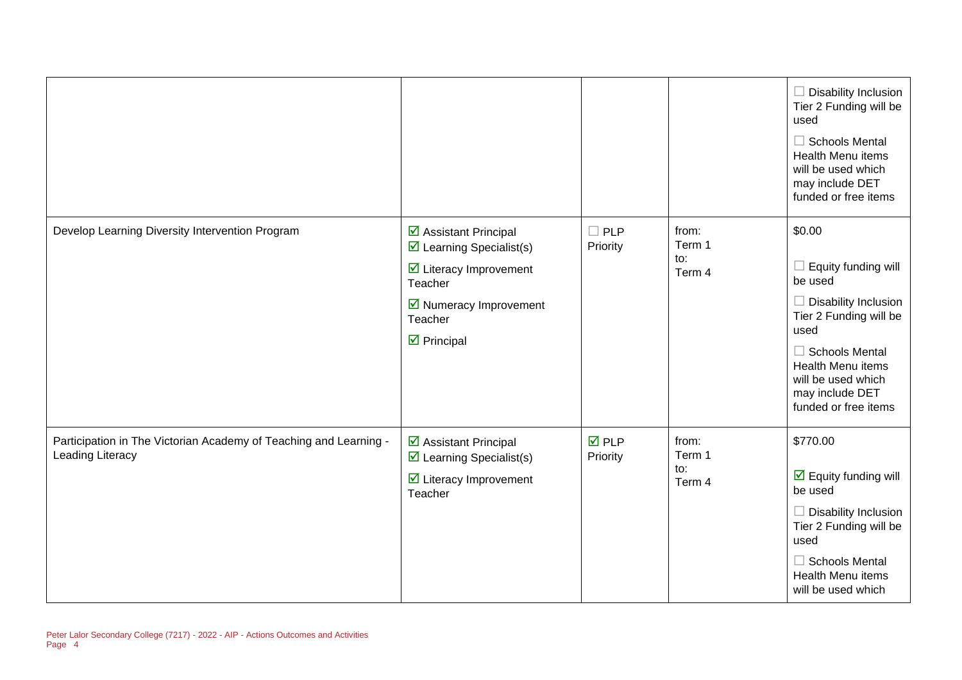|                                                                                              |                                                                                                                                                                                                        |                                |                                  | $\Box$ Disability Inclusion<br>Tier 2 Funding will be<br>used<br>$\Box$ Schools Mental<br>Health Menu items<br>will be used which<br>may include DET<br>funded or free items                                                    |
|----------------------------------------------------------------------------------------------|--------------------------------------------------------------------------------------------------------------------------------------------------------------------------------------------------------|--------------------------------|----------------------------------|---------------------------------------------------------------------------------------------------------------------------------------------------------------------------------------------------------------------------------|
| Develop Learning Diversity Intervention Program                                              | ☑ Assistant Principal<br>$\triangleright$ Learning Specialist(s)<br>$\triangleright$ Literacy Improvement<br>Teacher<br>$\triangleright$ Numeracy Improvement<br>Teacher<br>$\triangleright$ Principal | $\Box$ PLP<br>Priority         | from:<br>Term 1<br>to:<br>Term 4 | \$0.00<br>$\Box$ Equity funding will<br>be used<br>$\Box$ Disability Inclusion<br>Tier 2 Funding will be<br>used<br>$\Box$ Schools Mental<br>Health Menu items<br>will be used which<br>may include DET<br>funded or free items |
| Participation in The Victorian Academy of Teaching and Learning -<br><b>Leading Literacy</b> | ☑ Assistant Principal<br>$\triangleright$ Learning Specialist(s)<br>$\triangleright$ Literacy Improvement<br>Teacher                                                                                   | $\overline{M}$ PLP<br>Priority | from:<br>Term 1<br>to:<br>Term 4 | \$770.00<br>$\overline{\mathbf{y}}$ Equity funding will<br>be used<br>$\Box$ Disability Inclusion<br>Tier 2 Funding will be<br>used<br>$\Box$ Schools Mental<br>Health Menu items<br>will be used which                         |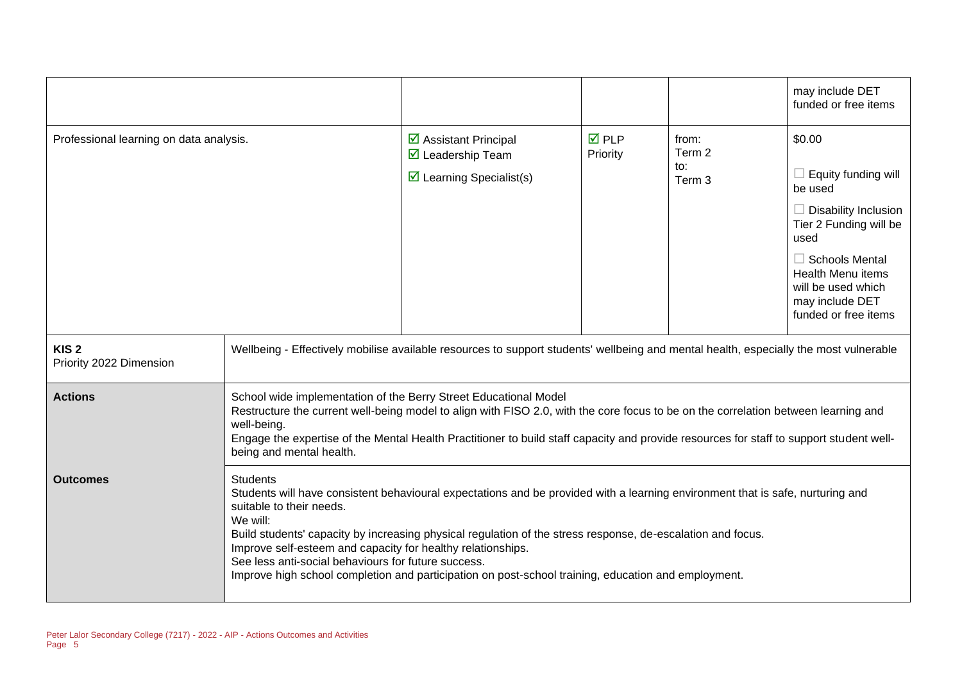|                                             |                                                                                                                                                                                                                                                                                                                                                                                                                                                                                                                                       |                                                                                                                            |                         |                                             | may include DET<br>funded or free items                                                                                                                                                                                                |
|---------------------------------------------|---------------------------------------------------------------------------------------------------------------------------------------------------------------------------------------------------------------------------------------------------------------------------------------------------------------------------------------------------------------------------------------------------------------------------------------------------------------------------------------------------------------------------------------|----------------------------------------------------------------------------------------------------------------------------|-------------------------|---------------------------------------------|----------------------------------------------------------------------------------------------------------------------------------------------------------------------------------------------------------------------------------------|
| Professional learning on data analysis.     |                                                                                                                                                                                                                                                                                                                                                                                                                                                                                                                                       | $\triangleright$ Assistant Principal<br>$\overline{\mathbf{2}}$ Leadership Team<br>$\triangleright$ Learning Specialist(s) | <b>ØPLP</b><br>Priority | from:<br>Term 2<br>to:<br>Term <sub>3</sub> | \$0.00<br>$\Box$ Equity funding will<br>be used<br>$\Box$ Disability Inclusion<br>Tier 2 Funding will be<br>used<br>$\Box$ Schools Mental<br><b>Health Menu items</b><br>will be used which<br>may include DET<br>funded or free items |
| KIS <sub>2</sub><br>Priority 2022 Dimension | Wellbeing - Effectively mobilise available resources to support students' wellbeing and mental health, especially the most vulnerable                                                                                                                                                                                                                                                                                                                                                                                                 |                                                                                                                            |                         |                                             |                                                                                                                                                                                                                                        |
| <b>Actions</b>                              | School wide implementation of the Berry Street Educational Model<br>Restructure the current well-being model to align with FISO 2.0, with the core focus to be on the correlation between learning and<br>well-being.<br>Engage the expertise of the Mental Health Practitioner to build staff capacity and provide resources for staff to support student well-<br>being and mental health.                                                                                                                                          |                                                                                                                            |                         |                                             |                                                                                                                                                                                                                                        |
| <b>Outcomes</b>                             | <b>Students</b><br>Students will have consistent behavioural expectations and be provided with a learning environment that is safe, nurturing and<br>suitable to their needs.<br>We will:<br>Build students' capacity by increasing physical regulation of the stress response, de-escalation and focus.<br>Improve self-esteem and capacity for healthy relationships.<br>See less anti-social behaviours for future success.<br>Improve high school completion and participation on post-school training, education and employment. |                                                                                                                            |                         |                                             |                                                                                                                                                                                                                                        |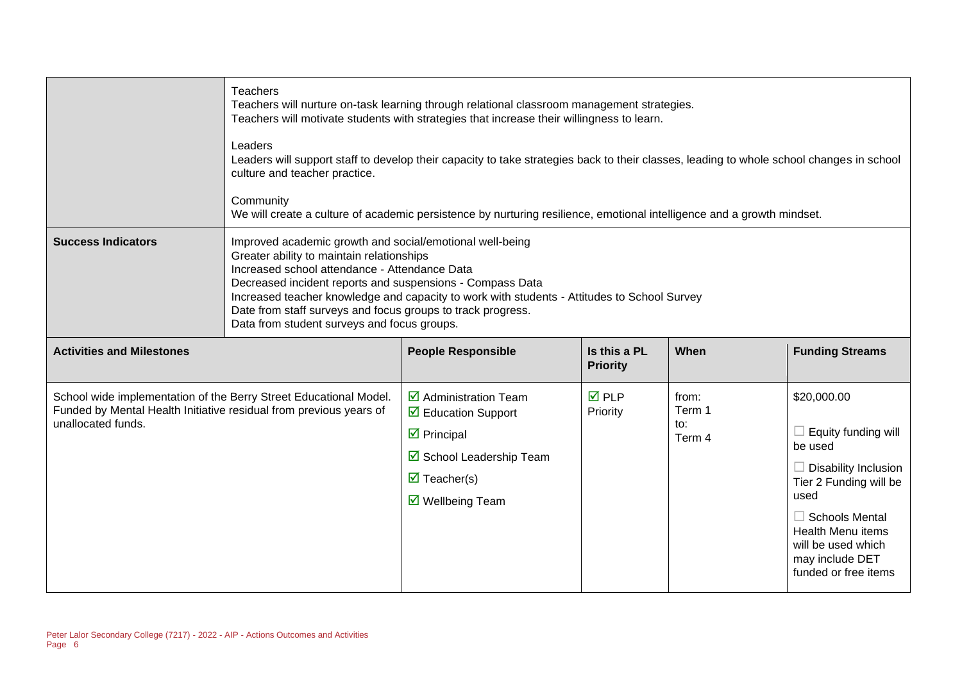|                                                                                                                                                               | <b>Teachers</b><br>Leaders<br>culture and teacher practice.<br>Community                                                                                                                                                                                                                                                                                                                                                         | Teachers will nurture on-task learning through relational classroom management strategies.<br>Teachers will motivate students with strategies that increase their willingness to learn.<br>Leaders will support staff to develop their capacity to take strategies back to their classes, leading to whole school changes in school<br>We will create a culture of academic persistence by nurturing resilience, emotional intelligence and a growth mindset. |                                 |                                  |                                                                                                                                                                                                                                             |
|---------------------------------------------------------------------------------------------------------------------------------------------------------------|----------------------------------------------------------------------------------------------------------------------------------------------------------------------------------------------------------------------------------------------------------------------------------------------------------------------------------------------------------------------------------------------------------------------------------|---------------------------------------------------------------------------------------------------------------------------------------------------------------------------------------------------------------------------------------------------------------------------------------------------------------------------------------------------------------------------------------------------------------------------------------------------------------|---------------------------------|----------------------------------|---------------------------------------------------------------------------------------------------------------------------------------------------------------------------------------------------------------------------------------------|
| <b>Success Indicators</b>                                                                                                                                     | Improved academic growth and social/emotional well-being<br>Greater ability to maintain relationships<br>Increased school attendance - Attendance Data<br>Decreased incident reports and suspensions - Compass Data<br>Increased teacher knowledge and capacity to work with students - Attitudes to School Survey<br>Date from staff surveys and focus groups to track progress.<br>Data from student surveys and focus groups. |                                                                                                                                                                                                                                                                                                                                                                                                                                                               |                                 |                                  |                                                                                                                                                                                                                                             |
| <b>Activities and Milestones</b>                                                                                                                              |                                                                                                                                                                                                                                                                                                                                                                                                                                  | <b>People Responsible</b>                                                                                                                                                                                                                                                                                                                                                                                                                                     | Is this a PL<br><b>Priority</b> | When                             | <b>Funding Streams</b>                                                                                                                                                                                                                      |
| School wide implementation of the Berry Street Educational Model.<br>Funded by Mental Health Initiative residual from previous years of<br>unallocated funds. |                                                                                                                                                                                                                                                                                                                                                                                                                                  | $\overline{\mathbf{2}}$ Administration Team<br>$\triangleright$ Education Support<br>$\triangleright$ Principal<br>☑ School Leadership Team<br>$\overline{\mathbf{M}}$ Teacher(s)<br>$\triangledown$ Wellbeing Team                                                                                                                                                                                                                                           | $\overline{M}$ PLP<br>Priority  | from:<br>Term 1<br>to:<br>Term 4 | \$20,000.00<br>$\Box$ Equity funding will<br>be used<br>$\Box$ Disability Inclusion<br>Tier 2 Funding will be<br>used<br>$\Box$ Schools Mental<br><b>Health Menu items</b><br>will be used which<br>may include DET<br>funded or free items |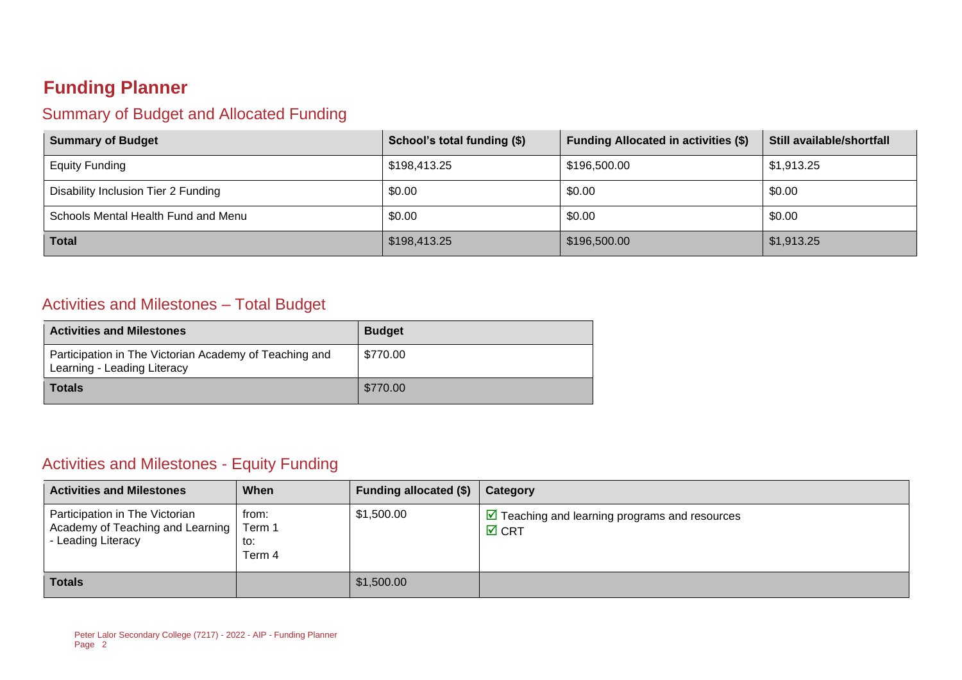## **Funding Planner**

### Summary of Budget and Allocated Funding

| <b>Summary of Budget</b>            | School's total funding (\$) | <b>Funding Allocated in activities (\$)</b> | Still available/shortfall |
|-------------------------------------|-----------------------------|---------------------------------------------|---------------------------|
| <b>Equity Funding</b>               | \$198,413.25                | \$196,500.00                                | \$1,913.25                |
| Disability Inclusion Tier 2 Funding | \$0.00                      | \$0.00                                      | \$0.00                    |
| Schools Mental Health Fund and Menu | \$0.00                      | \$0.00                                      | \$0.00                    |
| <b>Total</b>                        | \$198,413.25                | \$196,500.00                                | \$1,913.25                |

#### Activities and Milestones – Total Budget

| <b>Activities and Milestones</b>                                                      | <b>Budget</b> |
|---------------------------------------------------------------------------------------|---------------|
| Participation in The Victorian Academy of Teaching and<br>Learning - Leading Literacy | \$770.00      |
| <b>Totals</b>                                                                         | \$770.00      |

### Activities and Milestones - Equity Funding

| <b>Activities and Milestones</b>                                                         | When                             | Funding allocated (\$) | Category                                                                         |
|------------------------------------------------------------------------------------------|----------------------------------|------------------------|----------------------------------------------------------------------------------|
| Participation in The Victorian<br>Academy of Teaching and Learning<br>- Leading Literacy | from:<br>Term 1<br>to:<br>Term 4 | \$1,500.00             | $\triangleright$ Teaching and learning programs and resources<br>$\boxtimes$ CRT |
| <b>Totals</b>                                                                            |                                  | \$1,500.00             |                                                                                  |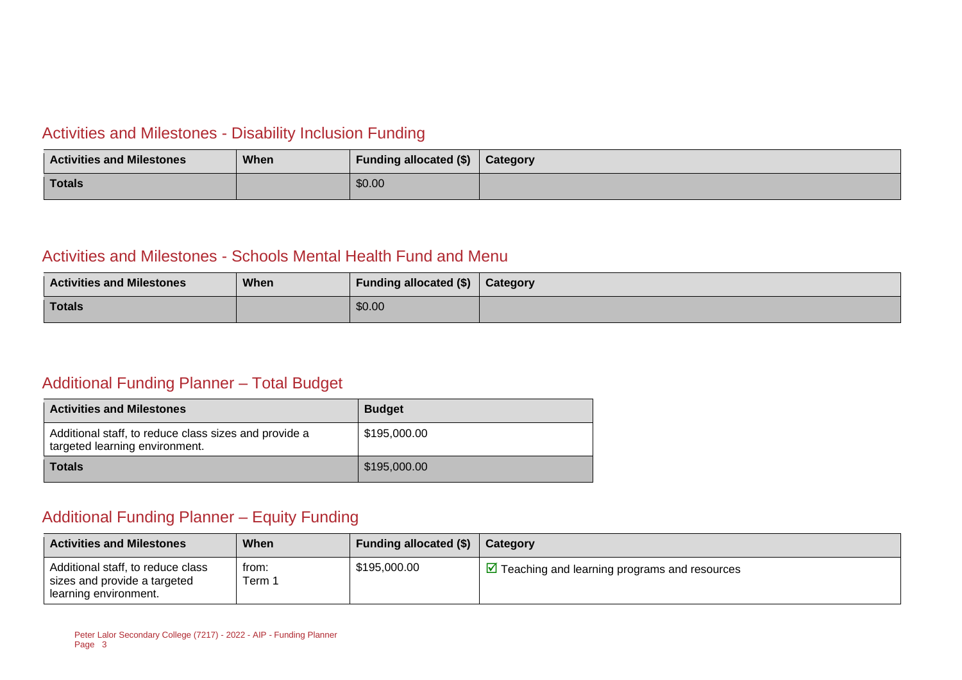#### Activities and Milestones - Disability Inclusion Funding

| <b>Activities and Milestones</b> | When | Funding allocated (\$) | <b>Category</b> |
|----------------------------------|------|------------------------|-----------------|
| Totals                           |      | \$0.00                 |                 |

#### Activities and Milestones - Schools Mental Health Fund and Menu

| <b>Activities and Milestones</b> | When | Funding allocated (\$) | Category |
|----------------------------------|------|------------------------|----------|
| <b>Totals</b>                    |      | \$0.00                 |          |

#### Additional Funding Planner – Total Budget

| <b>Activities and Milestones</b>                                                        | <b>Budget</b> |
|-----------------------------------------------------------------------------------------|---------------|
| Additional staff, to reduce class sizes and provide a<br>targeted learning environment. | \$195,000.00  |
| <b>Totals</b>                                                                           | \$195,000.00  |

### Additional Funding Planner – Equity Funding

| <b>Activities and Milestones</b>                                                           | When            | <b>Funding allocated (\$)</b> | Category                                                     |
|--------------------------------------------------------------------------------------------|-----------------|-------------------------------|--------------------------------------------------------------|
| Additional staff, to reduce class<br>sizes and provide a targeted<br>learning environment. | trom:<br>Term 1 | \$195,000.00                  | $\triangledown$ Teaching and learning programs and resources |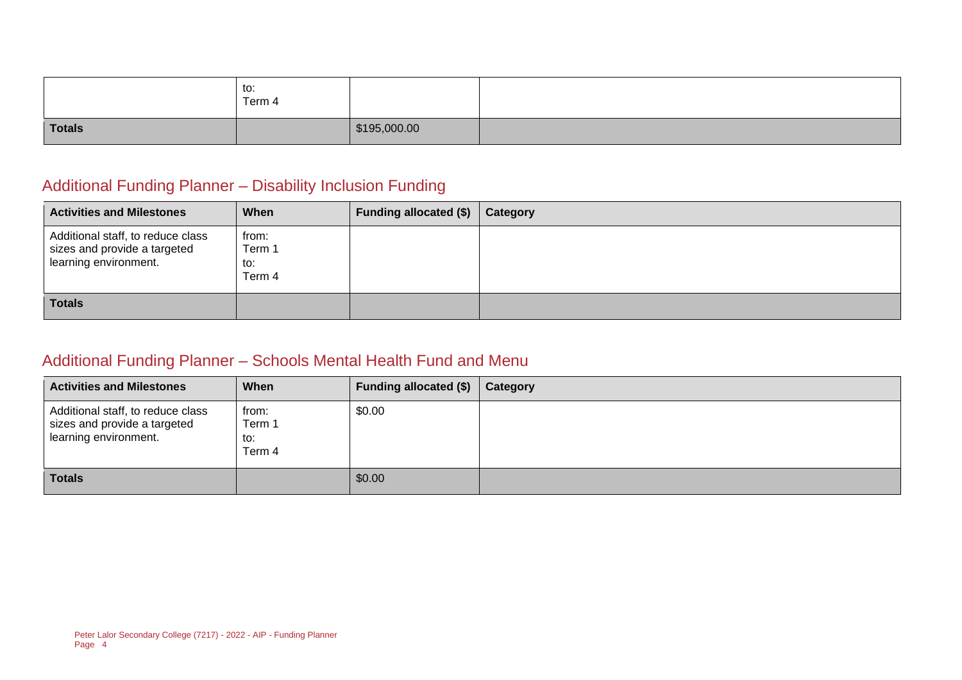|               | to:<br>Term 4 |              |  |
|---------------|---------------|--------------|--|
| <b>Totals</b> |               | \$195,000.00 |  |

### Additional Funding Planner – Disability Inclusion Funding

| <b>Activities and Milestones</b>                                                           | When                             | <b>Funding allocated (\$)</b> | Category |
|--------------------------------------------------------------------------------------------|----------------------------------|-------------------------------|----------|
| Additional staff, to reduce class<br>sizes and provide a targeted<br>learning environment. | from:<br>Term 1<br>to:<br>Term 4 |                               |          |
| <b>Totals</b>                                                                              |                                  |                               |          |

### Additional Funding Planner – Schools Mental Health Fund and Menu

| <b>Activities and Milestones</b>                                                           | When                             | Funding allocated (\$) | Category |
|--------------------------------------------------------------------------------------------|----------------------------------|------------------------|----------|
| Additional staff, to reduce class<br>sizes and provide a targeted<br>learning environment. | from:<br>Term 1<br>to:<br>Term 4 | \$0.00                 |          |
| <b>Totals</b>                                                                              |                                  | \$0.00                 |          |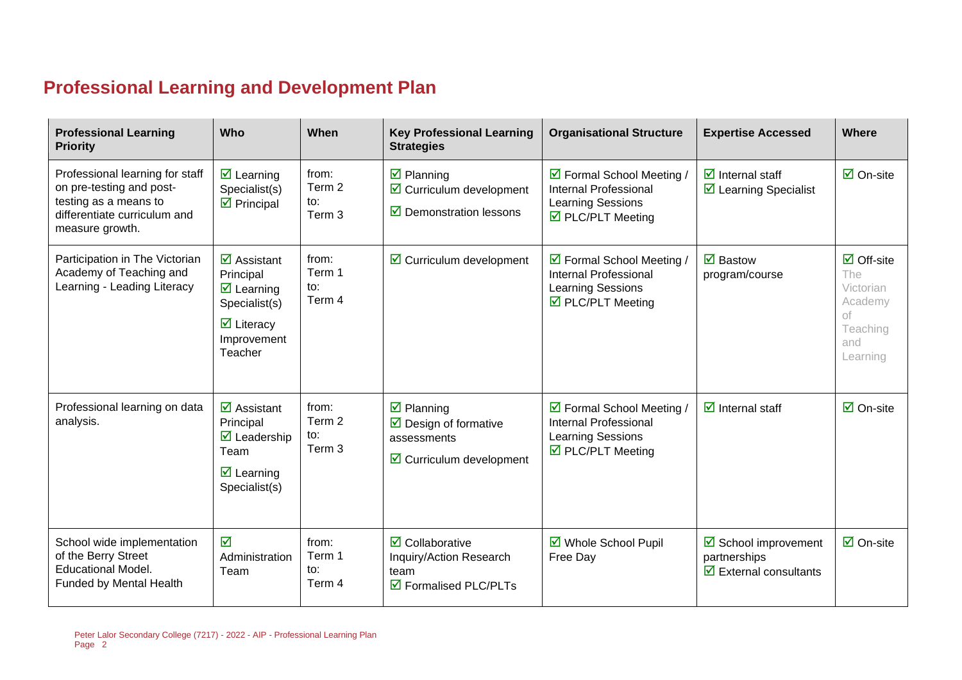# **Professional Learning and Development Plan**

| <b>Professional Learning</b><br><b>Priority</b>                                                                                         | Who                                                                                                                                                               | When                                        | <b>Key Professional Learning</b><br><b>Strategies</b>                                                                                     | <b>Organisational Structure</b>                                                                                          | <b>Expertise Accessed</b>                                                            | Where                                                                                          |
|-----------------------------------------------------------------------------------------------------------------------------------------|-------------------------------------------------------------------------------------------------------------------------------------------------------------------|---------------------------------------------|-------------------------------------------------------------------------------------------------------------------------------------------|--------------------------------------------------------------------------------------------------------------------------|--------------------------------------------------------------------------------------|------------------------------------------------------------------------------------------------|
| Professional learning for staff<br>on pre-testing and post-<br>testing as a means to<br>differentiate curriculum and<br>measure growth. | $\overline{\mathbf{z}}$ Learning<br>Specialist(s)<br>$\overline{\mathbf{z}}$ Principal                                                                            | from:<br>Term 2<br>$\mathsf{to}:$<br>Term 3 | $\boxtimes$ Planning<br>$\triangleright$ Curriculum development<br>$\triangleright$ Demonstration lessons                                 | ☑ Formal School Meeting /<br><b>Internal Professional</b><br><b>Learning Sessions</b><br>$\triangledown$ PLC/PLT Meeting | $\overline{\mathbf{d}}$ Internal staff<br>$\triangleright$ Learning Specialist       | $\overline{\Box}$ On-site                                                                      |
| Participation in The Victorian<br>Academy of Teaching and<br>Learning - Leading Literacy                                                | $\overline{\mathbf{M}}$ Assistant<br>Principal<br>$\overline{\mathbf{z}}$ Learning<br>Specialist(s)<br>$\overline{\mathbf{y}}$ Literacy<br>Improvement<br>Teacher | from:<br>Term 1<br>to:<br>Term 4            | $\triangleright$ Curriculum development                                                                                                   | ☑ Formal School Meeting /<br><b>Internal Professional</b><br>Learning Sessions<br>$\triangledown$ PLC/PLT Meeting        | $\overline{\mathbf{M}}$ Bastow<br>program/course                                     | $\overline{\Box}$ Off-site<br>The<br>Victorian<br>Academy<br>оf<br>Teaching<br>and<br>Learning |
| Professional learning on data<br>analysis.                                                                                              | $\overline{\mathbf{z}}$ Assistant<br>Principal<br>$\overline{\mathbf{M}}$ Leadership<br>Team<br>$\overline{\mathbf{z}}$ Learning<br>Specialist(s)                 | from:<br>Term 2<br>to:<br>Term 3            | $\overline{\mathbf{z}}$ Planning<br>$\overline{\mathbf{a}}$ Design of formative<br>assessments<br>$\triangleright$ Curriculum development | ☑ Formal School Meeting /<br><b>Internal Professional</b><br>Learning Sessions<br>☑ PLC/PLT Meeting                      | $\overline{\mathbf{d}}$ Internal staff                                               | $\overline{\mathsf{M}}$ On-site                                                                |
| School wide implementation<br>of the Berry Street<br><b>Educational Model.</b><br>Funded by Mental Health                               | ☑<br>Administration<br>Team                                                                                                                                       | from:<br>Term 1<br>to:<br>Term 4            | $\overline{\mathbf{2}}$ Collaborative<br>Inquiry/Action Research<br>team<br>☑ Formalised PLC/PLTs                                         | ■ Whole School Pupil<br>Free Day                                                                                         | ☑ School improvement<br>partnerships<br>$\overline{\mathbf{y}}$ External consultants | $\overline{\mathsf{M}}$ On-site                                                                |